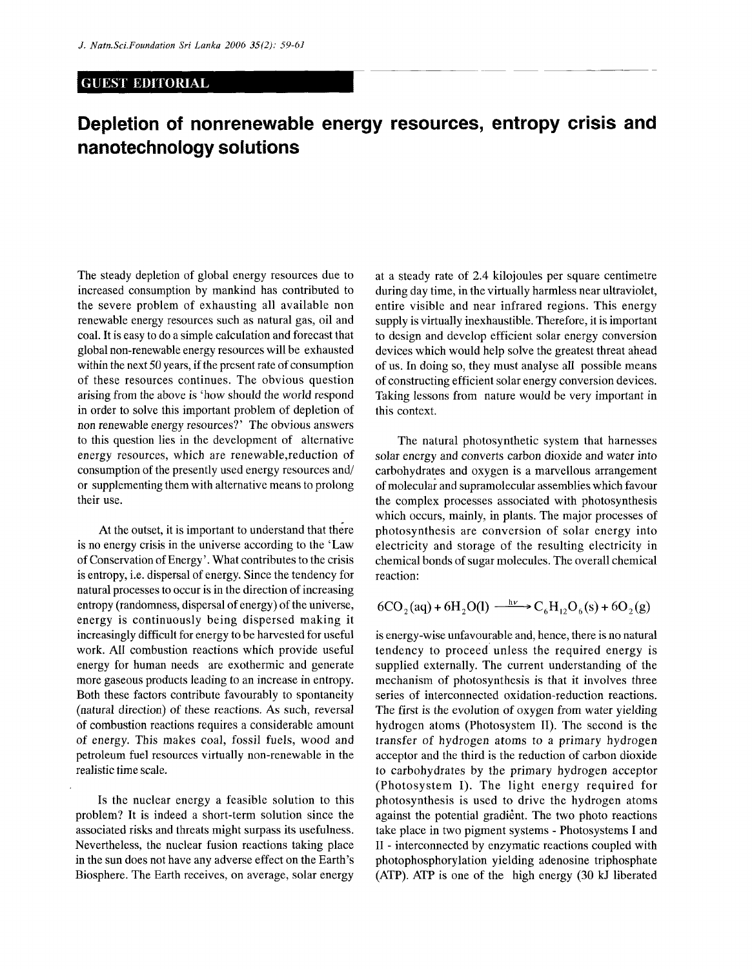## GUEST EDITORIAL

## **Depletion of nonrenewable energy resources, entropy crisis and nanotechnology solutions**

The steady depletion of global energy resources due to increased consumption by mankind has contributed to the severe problem of exhausting all available non renewable energy resources such as natural gas, oil and coal. It is easy to do a simple calculation and forecast that global non-renewable energy resources will be exhausted within the next 50 years, if the present rate of consumption of these resources continues. The obvious question arising from the above is 'how should the world respond in order to solve this important problem of depletion of non renewable energy resources?' The obvious answers to this question lies in the development of alternative energy resources, which are renewable,reduction of consumption of the presently used energy resources and/ or supplementing them with alternative means to prolong their use.

At the outset, it is important to understand that there is no energy crisis in the universe according to the 'Law of Conservation of Energy'. What contributes to the crisis is entropy, i.e. dispersal of energy. Since the tendency for natural processes to occur is in the direction of increasing entropy (randomness, dispersal of energy) of the universe, energy is continuously being dispersed making it increasingly difficult for energy to be harvested for useful work. All combustion reactions which provide useful energy for human needs are exothermic and generate more gaseous products leading to an increase in entropy. Both these factors contribute favourably to spontaneity (natural direction) of these reactions. As such, reversal of combustion reactions requires a considerable amount of energy. This makes coal, fossil fuels, wood and petroleum fuel resources virtually non-renewable in the realistic time scale.

Is the nuclear energy a feasible solution to this problem? It is indeed a short-term solution since the associated risks and threats might surpass its usefulness. Nevertheless, the nuclear fusion reactions taking place in the sun does not have any adverse effect on the Earth's Biosphere. The Earth receives, on average, solar energy

at a steady rate of 2.4 kilojoules per square centimetre during day time, in the virtually harmless near ultraviolet, entire visible and near infrared regions. This energy supply is virtually inexhaustible. Therefore, it is important to design and develop efficient solar energy conversion devices which would help solve the greatest threat ahead of us. In doing so, they must analyse all possible means of constructing efficient solar energy conversion devices. Taking lessons from nature would be very important in this context.

The natural photosynthetic system that harnesses solar energy and converts carbon dioxide and water into carbohydrates and oxygen is a marvellous arrangement of molecular and supramolecular assemblies which favour the complex processes associated with photosynthesis which occurs, mainly, in plants. The major processes of photosynthesis are conversion of solar energy into electricity and storage of the resulting electricity in chemical bonds of sugar molecules. The overall chemical reaction:

$$
6CO_2(aq) + 6H_2O(l) \xrightarrow{h\nu} C_6H_{12}O_6(s) + 6O_2(g)
$$

is energy-wise unfavourable and, hence, there is no natural tendency to proceed unless the required energy is supplied externally. The current understanding of the mechanism of photosynthesis is that it involves three series of interconnected oxidation-reduction reactions. The first is the evolution of oxygen from water yielding hydrogen atoms (Photosystem II). The second is the transfer of hydrogen atoms to a primary hydrogen acceptor and the third is the reduction of carbon dioxide to carbohydrates by the primary hydrogen acceptor (Photosystem I). The light energy required for photosynthesis is used to drive the hydrogen atoms against the potential gradient. The two photo reactions take place in two pigment systems - Photosystems I and II - interconnected by enzymatic reactions coupled with photophosphorylation yielding adenosine triphosphate (ATP). ATP is one of the high energy (30 kJ liberated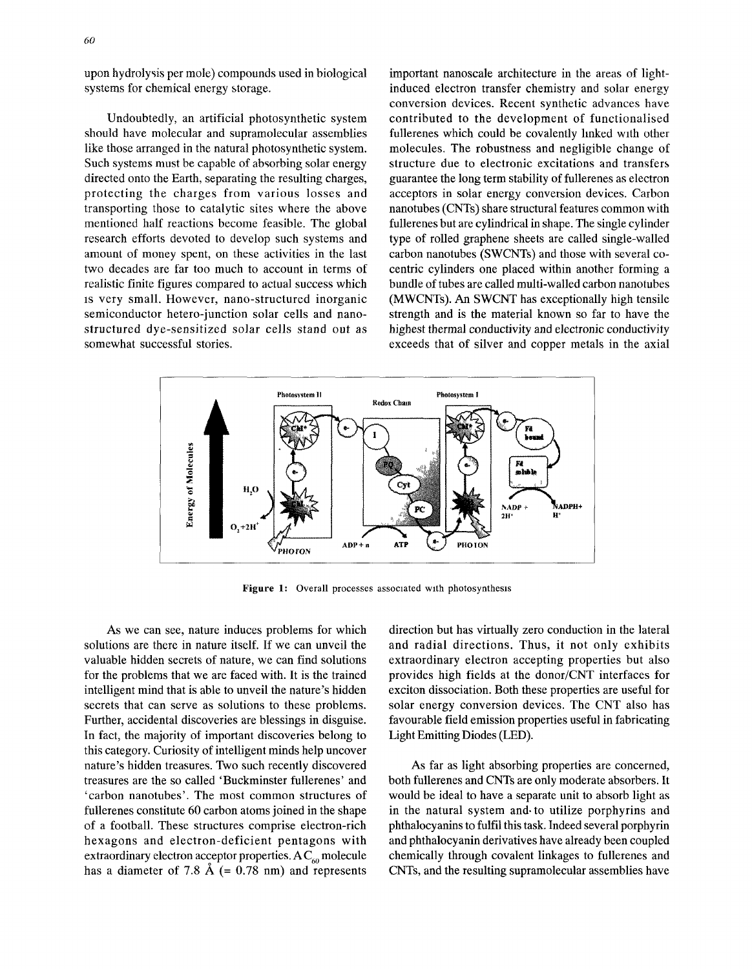upon hydrolysis per mole) compounds used in biological systems for chemical energy storage.

Undoubtedly, an artificial photosynthetic system should have molecular and supramolecular assemblies like those arranged in the natural photosynthetic system. Such systems must be capable of absorbing solar energy directed onto the Earth, separating the resulting charges, protecting the charges from various losses and transporting those to catalytic sites where the above mentioned half reactions become feasible. The global research efforts devoted to develop such systems and amount of money spent, on these activities in the last two decades are far too much to account in terms of realistic finite figures compared to actual success which is very small. However, nano-structured inorganic semiconductor hetero-junction solar cells and nanostructured dye-sensitized solar cells stand out as somewhat successful stories.

important nanoscale architecture in the areas of lightinduced electron transfer chemistry and solar energy conversion devices. Recent synthetic advances have contributed to the development of functionalised fullerenes which could be covalently linked with other molecules. The robustness and negligible change of structure due to electronic excitations and transfers guarantee the long term stability of fullerenes as electron acceptors in solar energy conversion devices. Carbon nanotubes (CNTs) share structural features common with fullerenes but are cylindrical in shape. The single cylinder type of rolled graphene sheets are called single-walled carbon nanotubes (SWCNTs) and those with several cocentric cylinders one placed within another forming a bundle of tubes are called multi-walled carbon nanotubes (MWCNTs). An SWCNT has exceptionally high tensile strength and is the material known so far to have the highest thermal conductivity and electronic conductivity exceeds that of silver and copper metals in the axial



Figure 1: Overall processes associated with photosynthesis

As we can see, nature induces problems for which solutions are there in nature itself. If we can unveil the valuable hidden secrets of nature, we can find solutions for the problems that we are faced with. It is the trained intelligent mind that is able to unveil the nature's hidden secrets that can serve as solutions to these problems. Further, accidental discoveries are blessings in disguise. In fact, the majority of important discoveries belong to this category. Curiosity of intelligent minds help uncover nature's hidden treasures. Two such recently discovered treasures are the so called 'Buckminster fullerenes' and 'carbon nanotubes'. The most common structures of fullerenes constitute 60 carbon atoms joined in the shape of a football. These structures comprise electron-rich hexagons and electron-deficient pentagons with extraordinary electron acceptor properties. A  $C_{60}$  molecule has a diameter of 7.8  $\AA$  (= 0.78 nm) and represents

direction but has virtually zero conduction in the lateral and radial directions. Thus, it not only exhibits extraordinary electron accepting properties but also provides high fields at the donor/CNT interfaces for exciton dissociation. Both these properties are useful for solar energy conversion devices. The CNT also has favourable field emission properties useful in fabricating Light Emitting Diodes (LED).

As far as light absorbing properties are concerned, both fullerenes and CNTs are only moderate absorbers. It would be ideal to have a separate unit to absorb light as in the natural system and to utilize porphyrins and phthalocyanins to fulfil this task. Indeed several porphyrin and phthalocyanin derivatives have already been coupled chemically through covalent linkages to fullerenes and CNTs, and the resulting supramolecular assemblies have